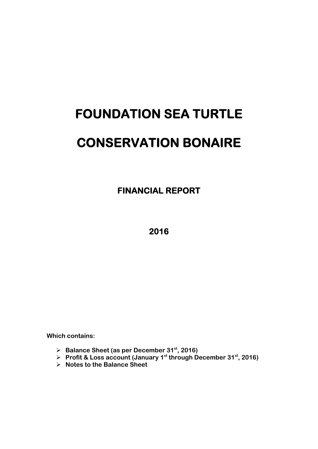# **FOUNDATION SEA TURTLE CONSERVATION BONAIRE**

 **FINANCIAL REPORT** 

**2016** 

**Which contains:** 

- **Balance Sheet (as per December 31st, 2016)**
- **Profit & Loss account (January 1st through December 31st, 2016)**
- **Notes to the Balance Sheet**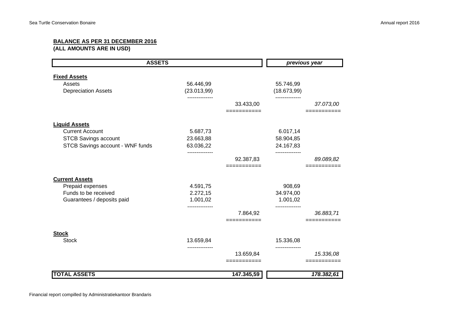## **BALANCE AS PER 31 DECEMBER 2016**

**(ALL AMOUNTS ARE IN USD)**

| <b>ASSETS</b>                    |                |             |                            | previous year |  |
|----------------------------------|----------------|-------------|----------------------------|---------------|--|
| <b>Fixed Assets</b>              |                |             |                            |               |  |
| Assets                           | 56.446,99      |             | 55.746,99                  |               |  |
| <b>Depreciation Assets</b>       | (23.013,99)    |             | (18.673,99)                |               |  |
|                                  |                | 33.433,00   |                            | 37.073,00     |  |
|                                  |                | =========== |                            |               |  |
| <b>Liquid Assets</b>             |                |             |                            |               |  |
| <b>Current Account</b>           | 5.687,73       |             | 6.017,14                   |               |  |
| <b>STCB Savings account</b>      | 23.663,88      |             | 58.904,85                  |               |  |
| STCB Savings account - WNF funds | 63.036,22<br>. |             | 24.167,83<br>------------- |               |  |
|                                  |                | 92.387,83   |                            | 89.089,82     |  |
|                                  |                | =========== |                            |               |  |
| <b>Current Assets</b>            |                |             |                            |               |  |
| Prepaid expenses                 | 4.591,75       |             | 908,69                     |               |  |
| Funds to be received             | 2.272,15       |             | 34.974,00                  |               |  |
| Guarantees / deposits paid       | 1.001,02       |             | 1.001,02                   |               |  |
|                                  |                | 7.864,92    |                            | 36.883,71     |  |
|                                  |                | =========   |                            |               |  |
| <b>Stock</b>                     |                |             |                            |               |  |
| <b>Stock</b>                     | 13.659,84      |             | 15.336,08                  |               |  |
|                                  |                | 13.659,84   |                            | 15.336,08     |  |
|                                  |                | =========   |                            |               |  |
| <b>TOTAL ASSETS</b>              |                | 147.345,59  |                            | 178.382,61    |  |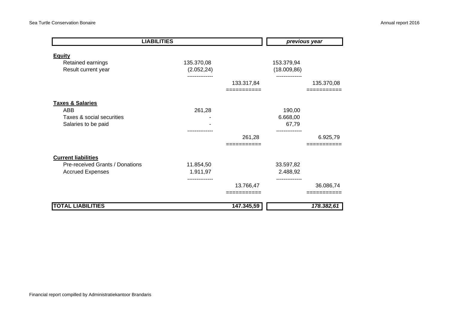| <b>LIABILITIES</b>                                        |                           |                        | previous year              |            |
|-----------------------------------------------------------|---------------------------|------------------------|----------------------------|------------|
| <b>Equity</b><br>Retained earnings<br>Result current year | 135.370,08<br>(2.052, 24) |                        | 153.379,94<br>(18.009, 86) |            |
|                                                           |                           | 133.317,84             |                            | 135.370,08 |
| <b>Taxes &amp; Salaries</b>                               |                           |                        |                            |            |
| ABB                                                       | 261,28                    |                        | 190,00                     |            |
| Taxes & social securities<br>Salaries to be paid          |                           |                        | 6.668,00<br>67,79          |            |
|                                                           |                           |                        |                            |            |
|                                                           |                           | 261,28                 |                            | 6.925,79   |
| <b>Current liabilities</b>                                |                           |                        |                            |            |
| Pre-received Grants / Donations                           | 11.854,50                 |                        | 33.597,82                  |            |
| <b>Accrued Expenses</b>                                   | 1.911,97                  |                        | 2.488,92                   |            |
|                                                           | -----------               |                        |                            |            |
|                                                           |                           | 13.766,47<br>--------- |                            | 36.086,74  |
|                                                           |                           |                        |                            |            |
| <b>TOTAL LIABILITIES</b>                                  |                           | 147.345,59             |                            | 178.382,61 |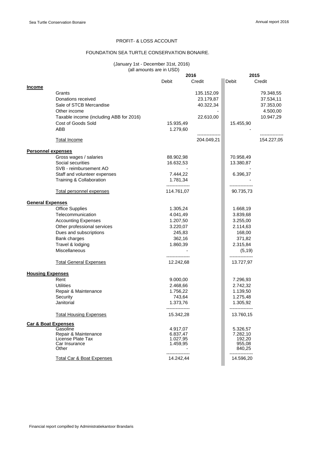## PROFIT- & LOSS ACCOUNT

## FOUNDATION SEA TURTLE CONSERVATION BONAIRE.

#### (January 1st - December 31st, 2016) (all amounts are in USD)

|                                |                                         |                      | 2016       | 2015             |            |
|--------------------------------|-----------------------------------------|----------------------|------------|------------------|------------|
|                                |                                         | Debit                | Credit     | Debit            | Credit     |
| <b>Income</b>                  |                                         |                      |            |                  |            |
|                                | Grants                                  |                      | 135.152,09 |                  | 79.348,55  |
|                                | Donations received                      |                      | 23.179,87  |                  | 37.534,11  |
|                                | Sale of STCB Mercandise                 |                      | 40.322,34  |                  | 37.353,00  |
|                                | Other income                            |                      |            |                  | 4.500,00   |
|                                | Taxable income (including ABB for 2016) |                      | 22.610,00  |                  | 10.947,29  |
|                                | Cost of Goods Sold                      | 15.935,49            |            | 15.455,90        |            |
|                                | ABB                                     | 1.279,60             |            |                  |            |
|                                |                                         |                      |            |                  |            |
|                                | <b>Total Income</b>                     |                      | 204.049,21 |                  | 154.227,05 |
|                                |                                         |                      |            |                  |            |
| <b>Personnel expenses</b>      |                                         |                      |            |                  |            |
|                                | Gross wages / salaries                  | 88.902,98            |            | 70.958,49        |            |
|                                | Social securities                       | 16.632,53            |            | 13.380,87        |            |
|                                | SVB - reimbursement AO                  |                      |            |                  |            |
|                                | Staff and volunteer expenses            | 7.444,22             |            | 6.396,37         |            |
|                                | Training & Collaboration                | 1.781,34             |            |                  |            |
|                                |                                         | ---------------      |            |                  |            |
|                                | Total personnel expenses                | 114.761,07           |            | 90.735,73        |            |
|                                |                                         |                      |            |                  |            |
| <b>General Expenses</b>        |                                         |                      |            |                  |            |
|                                | <b>Office Supplies</b>                  | 1.305,24             |            | 1.668,19         |            |
|                                | Telecommunication                       | 4.041,49             |            | 3.839,68         |            |
|                                | <b>Accounting Expenses</b>              | 1.207,50<br>3.220,07 |            | 3.255,00         |            |
|                                | Other professional services             |                      |            | 2.114,63         |            |
|                                | Dues and subscriptions                  | 245,83               |            | 168,00           |            |
|                                | Bank charges                            | 362,16               |            | 371,82           |            |
|                                | Travel & lodging                        | 1.860,39             |            | 2.315,84         |            |
|                                | <b>Miscellaneous</b>                    |                      |            | (5, 19)          |            |
|                                | <b>Total General Expenses</b>           | 12.242,68            |            | 13.727,97        |            |
|                                |                                         |                      |            |                  |            |
| <b>Housing Expenses</b>        |                                         |                      |            |                  |            |
|                                | Rent                                    | 9.000,00             |            | 7.296,93         |            |
|                                | <b>Utilities</b>                        | 2.468,66             |            | 2.742,32         |            |
|                                | Repair & Maintenance                    | 1.756,22             |            | 1.139,50         |            |
|                                | Security                                | 743,64               |            | 1.275,48         |            |
|                                | Janitorial                              | 1.373,76             |            | 1.305,92         |            |
|                                |                                         | ---------------      |            | ---------------  |            |
|                                | <b>Total Housing Expenses</b>           | 15.342,28            |            | 13.760,15        |            |
| <b>Car &amp; Boat Expenses</b> |                                         |                      |            |                  |            |
|                                | Gasoline                                | 4.917,07             |            | 5.326,57         |            |
|                                | Repair & Maintenance                    | 6.837,47             |            | 7.282,10         |            |
|                                | License Plate Tax<br>Car Insurance      | 1.027,95             |            | 192,20           |            |
|                                | Other                                   | 1.459,95             |            | 955,08<br>840,25 |            |
|                                |                                         |                      |            |                  |            |
|                                | Total Car & Boat Expenses               | 14.242,44            |            | 14.596,20        |            |
|                                |                                         |                      |            |                  |            |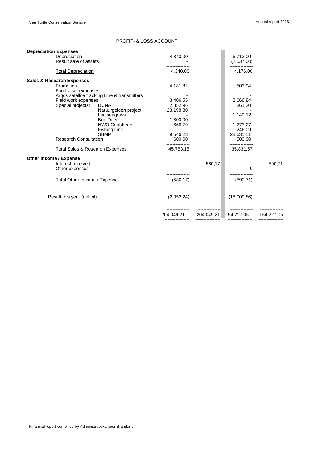## PROFIT- & LOSS ACCOUNT

| <b>Depreciation Expenses</b>               |                                              |                         |                         |                         |                         |
|--------------------------------------------|----------------------------------------------|-------------------------|-------------------------|-------------------------|-------------------------|
| Depreciation<br>Result sale of assets      |                                              | 4.340,00                |                         | 6.713.00<br>(2.537,00)  |                         |
| <b>Total Depreciation</b>                  |                                              | 4.340.00                |                         | 4.176,00                |                         |
| <b>Sales &amp; Research Expenses</b>       |                                              |                         |                         |                         |                         |
| Promotion                                  |                                              | 4.181,82                |                         | 503,94                  |                         |
| Fundraiser expenses                        |                                              |                         |                         |                         |                         |
|                                            | Argos satellite tracking time & transmitters |                         |                         |                         |                         |
| Field work expenses                        |                                              | 3.406,55                |                         | 2.666,84                |                         |
| Special projects:                          | <b>DCNA</b>                                  | 2.852,96                |                         | 861,20                  |                         |
|                                            | Natuurgelden project                         | 23.198,80               |                         |                         |                         |
|                                            | Lac seagrass                                 |                         |                         | 1.149,12                |                         |
|                                            | <b>Bon Doet</b>                              | 1.300,00                |                         |                         |                         |
|                                            | NWO Caribbean                                | 666,79                  |                         | 1.273,27                |                         |
|                                            | <b>Fishing Line</b>                          |                         |                         | 246,09                  |                         |
|                                            | <b>SBMP</b>                                  | 9.546,23                |                         | 28.631,11               |                         |
| <b>Research Consultation</b>               |                                              | 600,00                  |                         | 500,00                  |                         |
|                                            |                                              |                         |                         |                         |                         |
| <b>Total Sales &amp; Research Expenses</b> |                                              | 45.753,15               |                         | 35.831,57               |                         |
| <b>Other Income / Expense</b>              |                                              |                         |                         |                         |                         |
| Interest received                          |                                              |                         | 580,17                  |                         | 590,71                  |
| Other expenses                             |                                              |                         |                         | 0                       |                         |
|                                            |                                              |                         |                         |                         |                         |
| Total Other Income / Expense               |                                              | (580, 17)               |                         | (590, 71)               |                         |
| Result this year (deficit)                 |                                              | (2.052, 24)             |                         | (18.009.86)             |                         |
|                                            |                                              |                         |                         |                         |                         |
|                                            |                                              | 204.049.21<br>========= | 204.049,21<br>========= | 154.227,05<br>========= | 154.227.05<br>========= |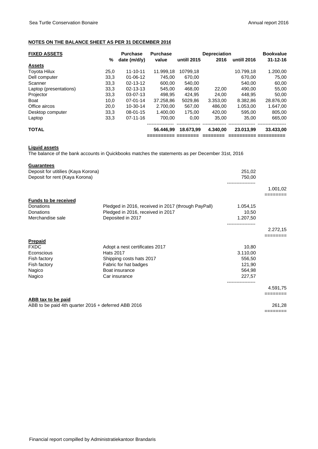## **NOTES ON THE BALANCE SHEET AS PER 31 DECEMBER 2016**

|      | <b>Purchase</b> | <b>Purchase</b> |                               |          |             | <b>Bookvalue</b>    |
|------|-----------------|-----------------|-------------------------------|----------|-------------|---------------------|
| %    | date $(m/d/v)$  | value           | untill 2015                   | 2016     | untill 2016 | $31 - 12 - 16$      |
|      |                 |                 |                               |          |             |                     |
| 25,0 | $11 - 10 - 11$  | 11.999.18       | 10799.18                      |          | 10.799.18   | 1.200,00            |
| 33,3 | $01 - 06 - 12$  | 745.00          | 670,00                        |          | 670,00      | 75,00               |
| 33,3 | $02 - 13 - 12$  |                 | 540.00                        |          | 540.00      | 60,00               |
| 33,3 | $02 - 13 - 13$  |                 | 468.00                        | 22,00    | 490.00      | 55,00               |
| 33,3 | $03-07-13$      | 498.95          | 424.95                        | 24.00    | 448.95      | 50,00               |
| 10,0 | $07 - 01 - 14$  |                 | 5029.86                       | 3.353,00 | 8.382.86    | 28.876,00           |
| 20,0 | 10-30-14        | 2.700.00        | 567.00                        | 486,00   | 1.053,00    | 1.647,00            |
| 33,3 | $08 - 01 - 15$  | 1.400.00        | 175.00                        | 420.00   | 595,00      | 805,00              |
| 33,3 | $07 - 11 - 16$  | 700.00          | 0.00                          | 35.00    | 35.00       | 665,00              |
|      |                 | 56.446.99       | 18.673.99                     | 4.340.00 | 23.013.99   | 33.433.00           |
|      |                 |                 | 600.00<br>545.00<br>37.258,86 |          |             | <b>Depreciation</b> |

#### **Liquid assets**

The balance of the bank accounts in Quickbooks matches the statements as per December 31st, 2016

#### **Guarantees**

| Deposit for utitilies (Kaya Korona)                 |                                                     | 251,02            |                      |
|-----------------------------------------------------|-----------------------------------------------------|-------------------|----------------------|
| Deposit for rent (Kaya Korona)                      |                                                     | 750,00            |                      |
|                                                     |                                                     | ----------------- | 1.001,02<br>======== |
| <b>Funds to be received</b>                         |                                                     |                   |                      |
| Donations                                           | Pledged in 2016, received in 2017 (through PayPall) | 1.054,15          |                      |
| Donations                                           | Pledged in 2016, received in 2017                   | 10,50             |                      |
| Merchandise sale                                    | Deposited in 2017                                   | 1.207,50          |                      |
|                                                     |                                                     |                   |                      |
|                                                     |                                                     |                   | 2.272,15             |
| <b>Prepaid</b>                                      |                                                     |                   |                      |
| <b>FXDC</b>                                         | Adopt a nest certificates 2017                      | 10,80             |                      |
| Econscious                                          | <b>Hats 2017</b>                                    | 3.110,00          |                      |
| Fish factory                                        | Shipping costs hats 2017                            | 556,50            |                      |
| Fish factory                                        | Fabric for hat badges                               | 121,90            |                      |
| Nagico                                              | Boat insurance                                      | 564,98            |                      |
| Nagico                                              | Car insurance                                       | 227,57            |                      |
|                                                     |                                                     |                   | 4.591,75             |
|                                                     |                                                     |                   | ========             |
| ABB tax to be paid                                  |                                                     |                   |                      |
| ABB to be paid 4th quarter 2016 + deferred ABB 2016 |                                                     |                   | 261,28               |
|                                                     |                                                     |                   | ========             |